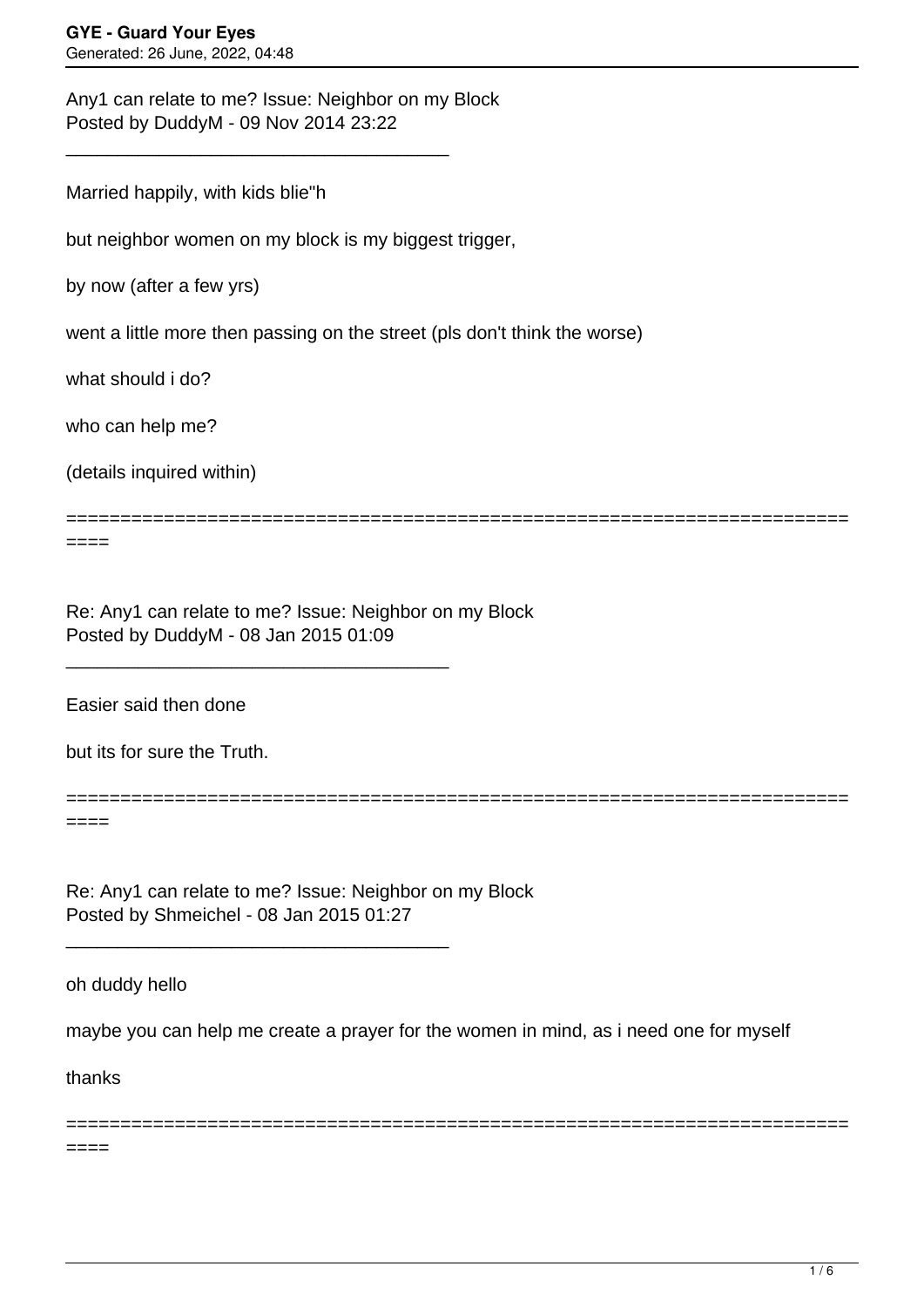Any1 can relate to me? Issue: Neighbor on my Block Posted by DuddyM - 09 Nov 2014 23:22

\_\_\_\_\_\_\_\_\_\_\_\_\_\_\_\_\_\_\_\_\_\_\_\_\_\_\_\_\_\_\_\_\_\_\_\_\_

Married happily, with kids blie"h

but neighbor women on my block is my biggest trigger,

by now (after a few yrs)

went a little more then passing on the street (pls don't think the worse)

what should i do?

who can help me?

(details inquired within)

====

Re: Any1 can relate to me? Issue: Neighbor on my Block Posted by DuddyM - 08 Jan 2015 01:09

\_\_\_\_\_\_\_\_\_\_\_\_\_\_\_\_\_\_\_\_\_\_\_\_\_\_\_\_\_\_\_\_\_\_\_\_\_

Easier said then done

but its for sure the Truth.

========================================================================  $====$ 

Re: Any1 can relate to me? Issue: Neighbor on my Block Posted by Shmeichel - 08 Jan 2015 01:27

\_\_\_\_\_\_\_\_\_\_\_\_\_\_\_\_\_\_\_\_\_\_\_\_\_\_\_\_\_\_\_\_\_\_\_\_\_

oh duddy hello

maybe you can help me create a prayer for the women in mind, as i need one for myself

========================================================================

========================================================================

thanks

====

 $1/6$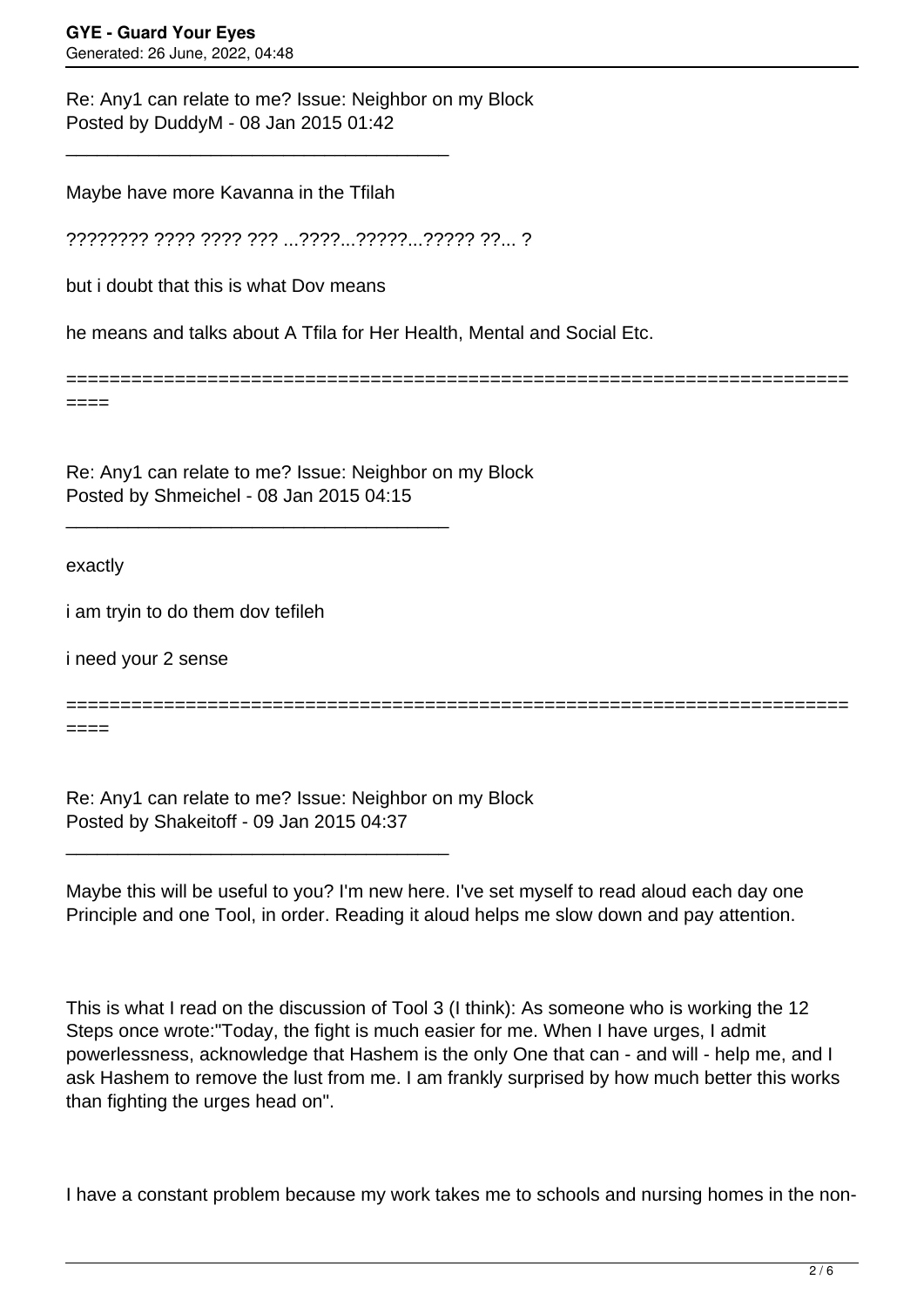Re: Any1 can relate to me? Issue: Neighbor on my Block Posted by DuddyM - 08 Jan 2015 01:42

Maybe have more Kavanna in the Tfilah

\_\_\_\_\_\_\_\_\_\_\_\_\_\_\_\_\_\_\_\_\_\_\_\_\_\_\_\_\_\_\_\_\_\_\_\_\_

???????? ???? ???? ??? ...????...?????...????? ??... ?

but i doubt that this is what Dov means

he means and talks about A Tfila for Her Health, Mental and Social Etc.

====

Re: Any1 can relate to me? Issue: Neighbor on my Block Posted by Shmeichel - 08 Jan 2015 04:15

\_\_\_\_\_\_\_\_\_\_\_\_\_\_\_\_\_\_\_\_\_\_\_\_\_\_\_\_\_\_\_\_\_\_\_\_\_

exactly

i am tryin to do them dov tefileh

i need your 2 sense

======================================================================== ====

========================================================================

Re: Any1 can relate to me? Issue: Neighbor on my Block Posted by Shakeitoff - 09 Jan 2015 04:37

\_\_\_\_\_\_\_\_\_\_\_\_\_\_\_\_\_\_\_\_\_\_\_\_\_\_\_\_\_\_\_\_\_\_\_\_\_

Maybe this will be useful to you? I'm new here. I've set myself to read aloud each day one Principle and one Tool, in order. Reading it aloud helps me slow down and pay attention.

This is what I read on the discussion of Tool 3 (I think): As someone who is working the 12 Steps once wrote:"Today, the fight is much easier for me. When I have urges, I admit powerlessness, acknowledge that Hashem is the only One that can - and will - help me, and I ask Hashem to remove the lust from me. I am frankly surprised by how much better this works than fighting the urges head on".

I have a constant problem because my work takes me to schools and nursing homes in the non-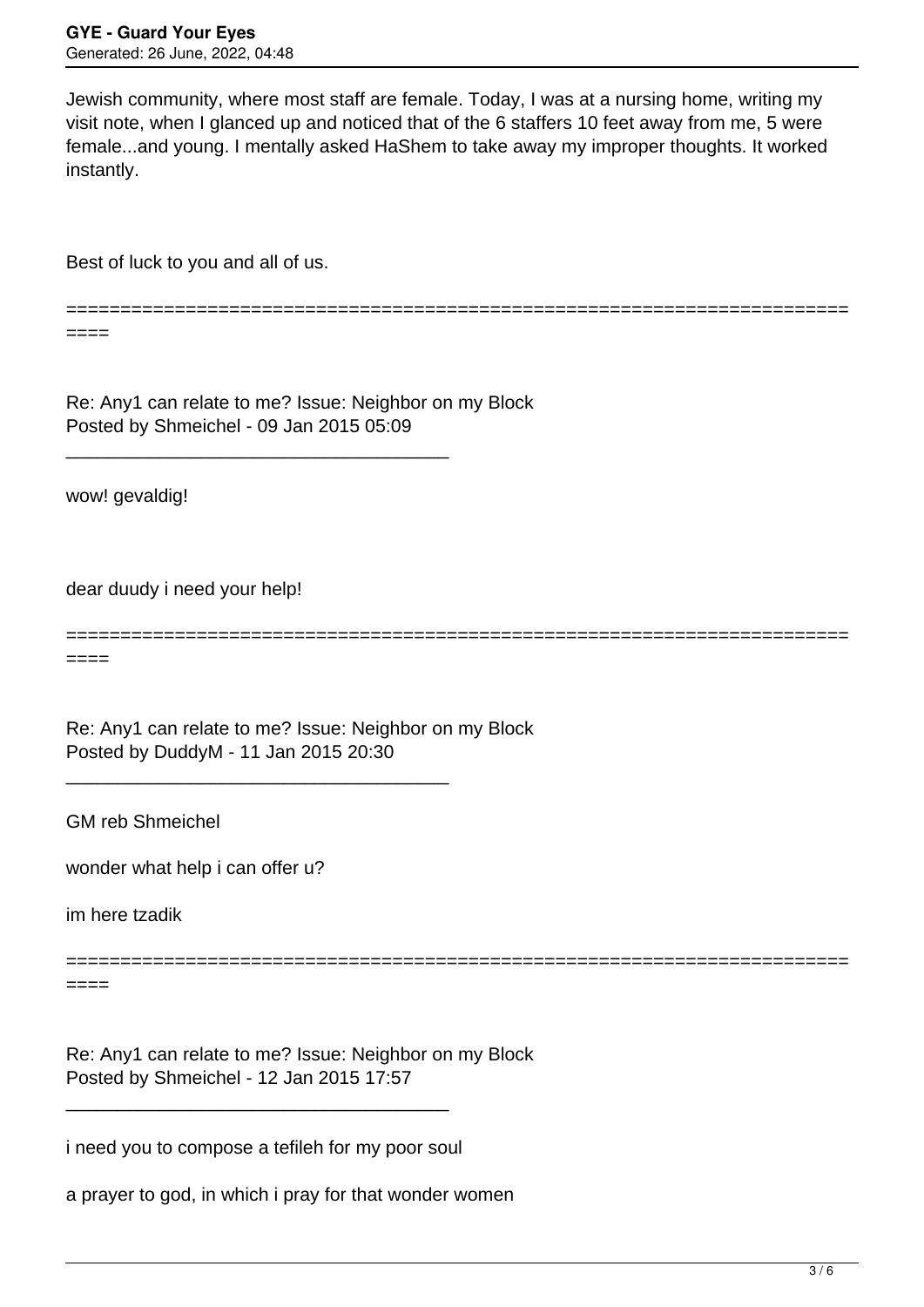Jewish community, where most staff are female. Today, I was at a nursing home, writing my visit note, when I glanced up and noticed that of the 6 staffers 10 feet away from me, 5 were female...and young. I mentally asked HaShem to take away my improper thoughts. It worked instantly.

Best of luck to you and all of us.

========================================================================

====

Re: Any1 can relate to me? Issue: Neighbor on my Block Posted by Shmeichel - 09 Jan 2015 05:09

\_\_\_\_\_\_\_\_\_\_\_\_\_\_\_\_\_\_\_\_\_\_\_\_\_\_\_\_\_\_\_\_\_\_\_\_\_

wow! gevaldig!

dear duudy i need your help!

======================================================================== ====

Re: Any1 can relate to me? Issue: Neighbor on my Block Posted by DuddyM - 11 Jan 2015 20:30

\_\_\_\_\_\_\_\_\_\_\_\_\_\_\_\_\_\_\_\_\_\_\_\_\_\_\_\_\_\_\_\_\_\_\_\_\_

GM reb Shmeichel

wonder what help i can offer u?

im here tzadik

========================================================================

====

Re: Any1 can relate to me? Issue: Neighbor on my Block Posted by Shmeichel - 12 Jan 2015 17:57

i need you to compose a tefileh for my poor soul

\_\_\_\_\_\_\_\_\_\_\_\_\_\_\_\_\_\_\_\_\_\_\_\_\_\_\_\_\_\_\_\_\_\_\_\_\_

a prayer to god, in which i pray for that wonder women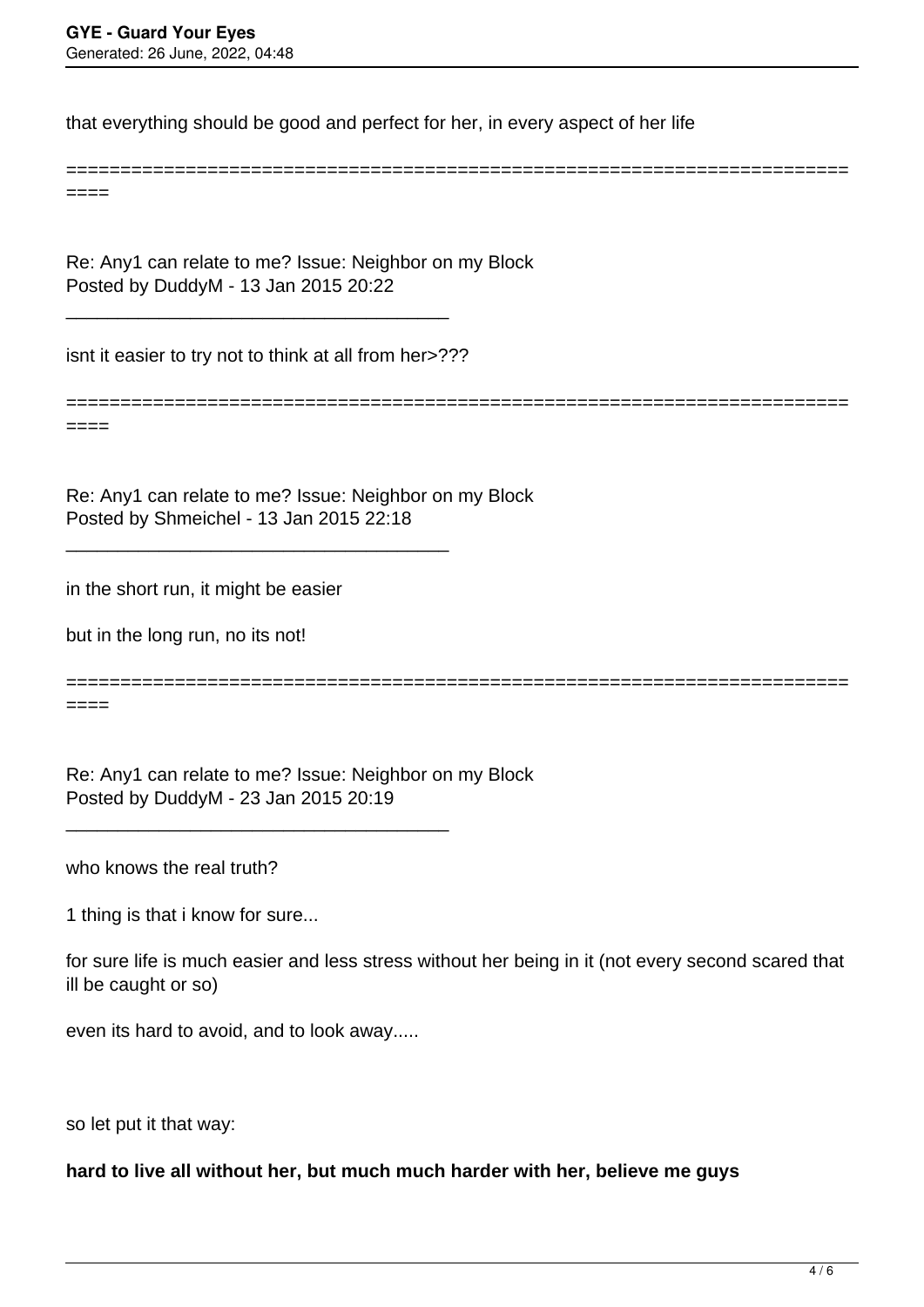that everything should be good and perfect for her, in every aspect of her life

====

Re: Any1 can relate to me? Issue: Neighbor on my Block Posted by DuddyM - 13 Jan 2015 20:22

isnt it easier to try not to think at all from her>???

\_\_\_\_\_\_\_\_\_\_\_\_\_\_\_\_\_\_\_\_\_\_\_\_\_\_\_\_\_\_\_\_\_\_\_\_\_

\_\_\_\_\_\_\_\_\_\_\_\_\_\_\_\_\_\_\_\_\_\_\_\_\_\_\_\_\_\_\_\_\_\_\_\_\_

======================================================================== ====

========================================================================

Re: Any1 can relate to me? Issue: Neighbor on my Block Posted by Shmeichel - 13 Jan 2015 22:18

in the short run, it might be easier

but in the long run, no its not!

========================================================================

====

Re: Any1 can relate to me? Issue: Neighbor on my Block Posted by DuddyM - 23 Jan 2015 20:19

\_\_\_\_\_\_\_\_\_\_\_\_\_\_\_\_\_\_\_\_\_\_\_\_\_\_\_\_\_\_\_\_\_\_\_\_\_

who knows the real truth?

1 thing is that i know for sure...

for sure life is much easier and less stress without her being in it (not every second scared that ill be caught or so)

even its hard to avoid, and to look away.....

so let put it that way:

**hard to live all without her, but much much harder with her, believe me guys**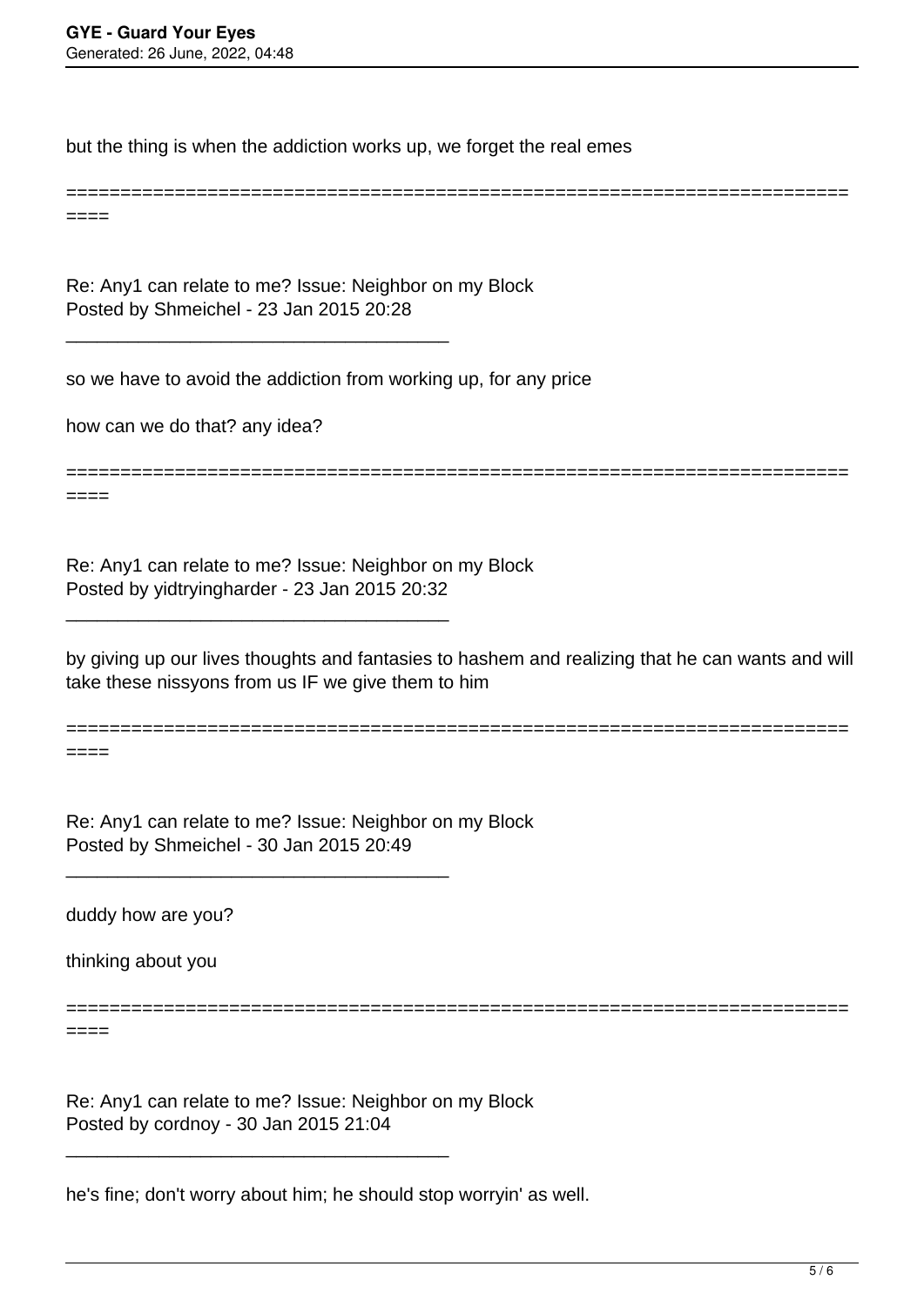but the thing is when the addiction works up, we forget the real emes

========================================================================

====

Re: Any1 can relate to me? Issue: Neighbor on my Block Posted by Shmeichel - 23 Jan 2015 20:28

\_\_\_\_\_\_\_\_\_\_\_\_\_\_\_\_\_\_\_\_\_\_\_\_\_\_\_\_\_\_\_\_\_\_\_\_\_

so we have to avoid the addiction from working up, for any price

how can we do that? any idea?

========================================================================

====

Re: Any1 can relate to me? Issue: Neighbor on my Block Posted by yidtryingharder - 23 Jan 2015 20:32

\_\_\_\_\_\_\_\_\_\_\_\_\_\_\_\_\_\_\_\_\_\_\_\_\_\_\_\_\_\_\_\_\_\_\_\_\_

\_\_\_\_\_\_\_\_\_\_\_\_\_\_\_\_\_\_\_\_\_\_\_\_\_\_\_\_\_\_\_\_\_\_\_\_\_

by giving up our lives thoughts and fantasies to hashem and realizing that he can wants and will take these nissyons from us IF we give them to him

========================================================================

========================================================================

 $====$ 

Re: Any1 can relate to me? Issue: Neighbor on my Block Posted by Shmeichel - 30 Jan 2015 20:49

duddy how are you?

thinking about you

====

Re: Any1 can relate to me? Issue: Neighbor on my Block Posted by cordnoy - 30 Jan 2015 21:04

\_\_\_\_\_\_\_\_\_\_\_\_\_\_\_\_\_\_\_\_\_\_\_\_\_\_\_\_\_\_\_\_\_\_\_\_\_

he's fine; don't worry about him; he should stop worryin' as well.